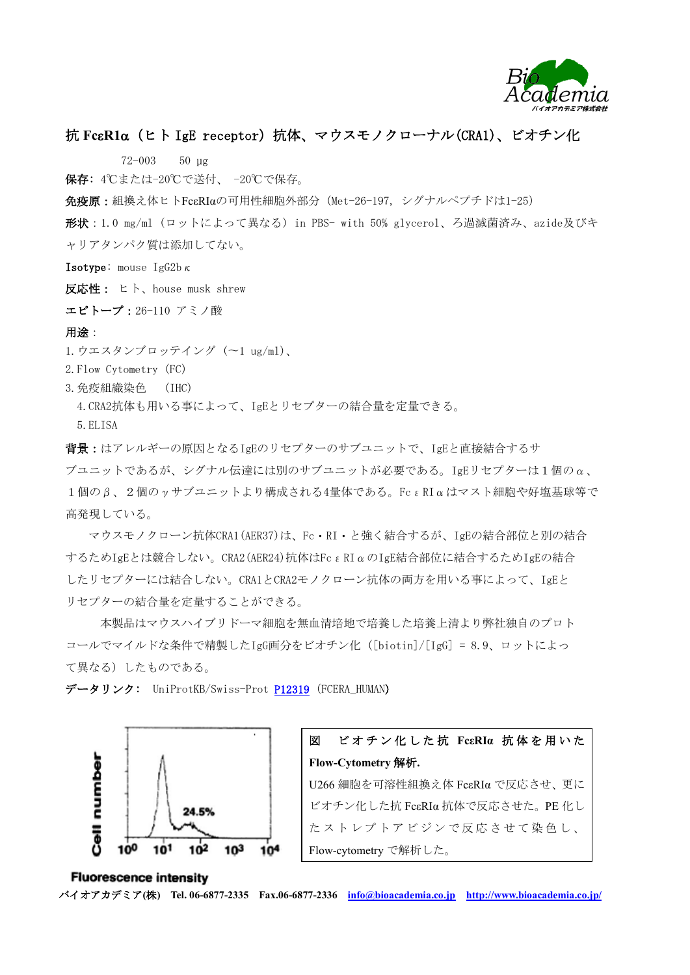

# 抗 **FcR1**(ヒト IgE receptor)抗体、マウスモノクローナル(CRA1)、ビオチン化

72-003 50 µg

保存: 4℃または-20℃で送付、 -20℃で保存。

免疫原:組換え体ヒトFcεRIαの可用性細胞外部分(Met-26-197, シグナルペプチドは1-25)

形状:1.0 mg/ml (ロットによって異なる) in PBS- with 50% glycerol、ろ過滅菌済み、azide及びキ ャリアタンパク質は添加してない。

**Isotype:** mouse IgG2b $\kappa$ 

反応性: ヒト、house musk shrew

エピトープ:26-110 アミノ酸

### 用途:

1.ウエスタンブロッテイング (〜1 ug/ml)、

2. Flow Cytometry (FC)

- 3.免疫組織染色 (IHC)
	- 4.CRA2抗体も用いる事によって、IgEとリセプターの結合量を定量できる。
- 5.ELISA

背景:はアレルギーの原因となるIgEのリセプターのサブユニットで、IgEと直接結合するサ ブユニットであるが、シグナル伝達には別のサブユニットが必要である。IgEリセプターは1個のα、  $1$ 個のβ、2個のγサブユニットより構成される4量体である。FcεRIαはマスト細胞や好塩基球等で 高発現している。

マウスモノクローン抗体CRA1(AER37)は、Fc RI と強く結合するが、IgEの結合部位と別の結合 するためIgEとは競合しない。CRA2(AER24)抗体はFcεRIαのIgE結合部位に結合するためIgEの結合 したリセプターには結合しない。CRA1とCRA2モノクローン抗体の両方を用いる事によって、IgEと リセプターの結合量を定量することができる。

 本製品はマウスハイブリドーマ細胞を無血清培地で培養した培養上清より弊社独自のプロト コールでマイルドな条件で精製したIgG画分をビオチン化([biotin]/[IgG] = 8.9、ロットによっ て異なる)したものである。

データリンク: UniProtKB/Swiss-Prot [P12319](http://www.uniprot.org/uniprot/P12319) (FCERA\_HUMAN)





#### **Fluorescence intensity** バイオアカデミア**(**株**) Tel. 06-6877-2335 Fax.06-6877-2336 [info@bioacademia.co.jp](mailto:info@bioacademia.co.jp) <http://www.bioacademia.co.jp/>**